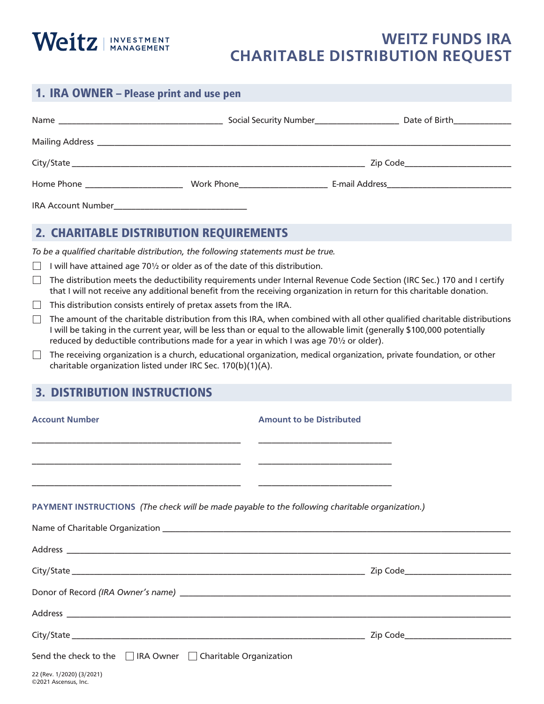

## **WEITZ FUNDS IRA CHARITABLE DISTRIBUTION REQUEST**

| 1. IRA OWNER – Please print and use pen |  |                                                                                  |  |
|-----------------------------------------|--|----------------------------------------------------------------------------------|--|
|                                         |  | Social Security Number___________________________ Date of Birth_________________ |  |
|                                         |  |                                                                                  |  |
|                                         |  |                                                                                  |  |
| Home Phone _______________________      |  |                                                                                  |  |
|                                         |  |                                                                                  |  |

## 2. CHARITABLE DISTRIBUTION REQUIREMENTS

*To be a qualified charitable distribution, the following statements must be true.*

- I will have attained age 70 $\frac{1}{2}$  or older as of the date of this distribution.
- $\Box$  The distribution meets the deductibility requirements under Internal Revenue Code Section (IRC Sec.) 170 and I certify that I will not receive any additional benefit from the receiving organization in return for this charitable donation.
- $\Box$  This distribution consists entirely of pretax assets from the IRA.
- $\Box$  The amount of the charitable distribution from this IRA, when combined with all other qualified charitable distributions I will be taking in the current year, will be less than or equal to the allowable limit (generally \$100,000 potentially reduced by deductible contributions made for a year in which I was age 70½ or older).
- $\Box$  The receiving organization is a church, educational organization, medical organization, private foundation, or other charitable organization listed under IRC Sec. 170(b)(1)(A).

## 3. DISTRIBUTION INSTRUCTIONS

| <b>Account Number</b>                                                                           | <b>Amount to be Distributed</b> |  |
|-------------------------------------------------------------------------------------------------|---------------------------------|--|
|                                                                                                 |                                 |  |
|                                                                                                 |                                 |  |
| PAYMENT INSTRUCTIONS (The check will be made payable to the following charitable organization.) |                                 |  |
|                                                                                                 |                                 |  |
|                                                                                                 |                                 |  |
|                                                                                                 |                                 |  |
|                                                                                                 |                                 |  |
|                                                                                                 |                                 |  |
|                                                                                                 |                                 |  |
| Send the check to the $\Box$ IRA Owner $\Box$ Charitable Organization                           |                                 |  |
|                                                                                                 |                                 |  |